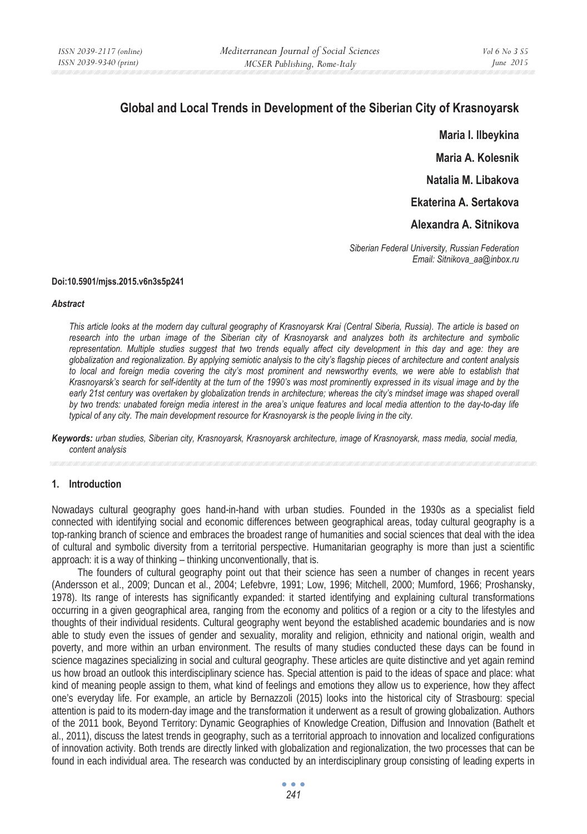# **Global and Local Trends in Development of the Siberian City of Krasnoyarsk**

**Maria I. Ilbeykina Maria A. Kolesnik Natalia M. Libakova Ekaterina A. Sertakova Alexandra A. Sitnikova** 

*Siberian Federal University, Russian Federation Email: Sitnikova\_aa@inbox.ru* 

#### **Doi:10.5901/mjss.2015.v6n3s5p241**

#### *Abstract*

*This article looks at the modern day cultural geography of Krasnoyarsk Krai (Central Siberia, Russia). The article is based on research into the urban image of the Siberian city of Krasnoyarsk and analyzes both its architecture and symbolic*  representation. Multiple studies suggest that two trends equally affect city development in this day and age: they are *globalization and regionalization. By applying semiotic analysis to the city's flagship pieces of architecture and content analysis*  to local and foreign media covering the city's most prominent and newsworthy events, we were able to establish that *Krasnoyarsk's search for self-identity at the turn of the 1990's was most prominently expressed in its visual image and by the*  early 21st century was overtaken by globalization trends in architecture; whereas the city's mindset image was shaped overall *by two trends: unabated foreign media interest in the area's unique features and local media attention to the day-to-day life typical of any city. The main development resource for Krasnoyarsk is the people living in the city.* 

*Keywords: urban studies, Siberian city, Krasnoyarsk, Krasnoyarsk architecture, image of Krasnoyarsk, mass media, social media, content analysis* 

### **1. Introduction**

Nowadays cultural geography goes hand-in-hand with urban studies. Founded in the 1930s as a specialist field connected with identifying social and economic differences between geographical areas, today cultural geography is a top-ranking branch of science and embraces the broadest range of humanities and social sciences that deal with the idea of cultural and symbolic diversity from a territorial perspective. Humanitarian geography is more than just a scientific approach: it is a way of thinking – thinking unconventionally, that is.

The founders of cultural geography point out that their science has seen a number of changes in recent years (Andersson et al., 2009; Duncan et al., 2004; Lefebvre, 1991; Low, 1996; Mitchell, 2000; Mumford, 1966; Proshansky, 1978). Its range of interests has significantly expanded: it started identifying and explaining cultural transformations occurring in a given geographical area, ranging from the economy and politics of a region or a city to the lifestyles and thoughts of their individual residents. Cultural geography went beyond the established academic boundaries and is now able to study even the issues of gender and sexuality, morality and religion, ethnicity and national origin, wealth and poverty, and more within an urban environment. The results of many studies conducted these days can be found in science magazines specializing in social and cultural geography. These articles are quite distinctive and yet again remind us how broad an outlook this interdisciplinary science has. Special attention is paid to the ideas of space and place: what kind of meaning people assign to them, what kind of feelings and emotions they allow us to experience, how they affect one's everyday life. For example, an article by Bernazzoli (2015) looks into the historical city of Strasbourg: special attention is paid to its modern-day image and the transformation it underwent as a result of growing globalization. Authors of the 2011 book, Beyond Territory: Dynamic Geographies of Knowledge Creation, Diffusion and Innovation (Bathelt et al., 2011), discuss the latest trends in geography, such as a territorial approach to innovation and localized configurations of innovation activity. Both trends are directly linked with globalization and regionalization, the two processes that can be found in each individual area. The research was conducted by an interdisciplinary group consisting of leading experts in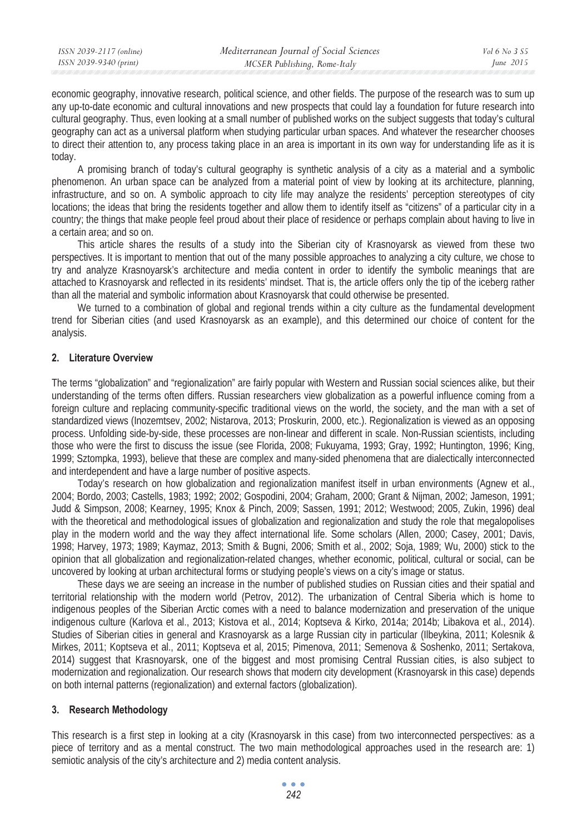economic geography, innovative research, political science, and other fields. The purpose of the research was to sum up any up-to-date economic and cultural innovations and new prospects that could lay a foundation for future research into cultural geography. Thus, even looking at a small number of published works on the subject suggests that today's cultural geography can act as a universal platform when studying particular urban spaces. And whatever the researcher chooses to direct their attention to, any process taking place in an area is important in its own way for understanding life as it is today.

A promising branch of today's cultural geography is synthetic analysis of a city as a material and a symbolic phenomenon. An urban space can be analyzed from a material point of view by looking at its architecture, planning, infrastructure, and so on. A symbolic approach to city life may analyze the residents' perception stereotypes of city locations; the ideas that bring the residents together and allow them to identify itself as "citizens" of a particular city in a country; the things that make people feel proud about their place of residence or perhaps complain about having to live in a certain area; and so on.

This article shares the results of a study into the Siberian city of Krasnoyarsk as viewed from these two perspectives. It is important to mention that out of the many possible approaches to analyzing a city culture, we chose to try and analyze Krasnoyarsk's architecture and media content in order to identify the symbolic meanings that are attached to Krasnoyarsk and reflected in its residents' mindset. That is, the article offers only the tip of the iceberg rather than all the material and symbolic information about Krasnoyarsk that could otherwise be presented.

We turned to a combination of global and regional trends within a city culture as the fundamental development trend for Siberian cities (and used Krasnoyarsk as an example), and this determined our choice of content for the analysis.

# **2. Literature Overview**

The terms "globalization" and "regionalization" are fairly popular with Western and Russian social sciences alike, but their understanding of the terms often differs. Russian researchers view globalization as a powerful influence coming from a foreign culture and replacing community-specific traditional views on the world, the society, and the man with a set of standardized views (Inozemtsev, 2002; Nistarova, 2013; Proskurin, 2000, etc.). Regionalization is viewed as an opposing process. Unfolding side-by-side, these processes are non-linear and different in scale. Non-Russian scientists, including those who were the first to discuss the issue (see Florida, 2008; Fukuyama, 1993; Gray, 1992; Huntington, 1996; King, 1999; Sztompka, 1993), believe that these are complex and many-sided phenomena that are dialectically interconnected and interdependent and have a large number of positive aspects.

Today's research on how globalization and regionalization manifest itself in urban environments (Agnew et al., 2004; Bordo, 2003; Castells, 1983; 1992; 2002; Gospodini, 2004; Graham, 2000; Grant & Nijman, 2002; Jameson, 1991; Judd & Simpson, 2008; Kearney, 1995; Knox & Pinch, 2009; Sassen, 1991; 2012; Westwood; 2005, Zukin, 1996) deal with the theoretical and methodological issues of globalization and regionalization and study the role that megalopolises play in the modern world and the way they affect international life. Some scholars (Allen, 2000; Casey, 2001; Davis, 1998; Harvey, 1973; 1989; Kaymaz, 2013; Smith & Bugni, 2006; Smith et al., 2002; Soja, 1989; Wu, 2000) stick to the opinion that all globalization and regionalization-related changes, whether economic, political, cultural or social, can be uncovered by looking at urban architectural forms or studying people's views on a city's image or status.

These days we are seeing an increase in the number of published studies on Russian cities and their spatial and territorial relationship with the modern world (Petrov, 2012). The urbanization of Central Siberia which is home to indigenous peoples of the Siberian Arctic comes with a need to balance modernization and preservation of the unique indigenous culture (Karlova et al., 2013; Kistova et al., 2014; Koptseva & Kirko, 2014a; 2014b; Libakova et al., 2014). Studies of Siberian cities in general and Krasnoyarsk as a large Russian city in particular (Ilbeykina, 2011; Kolesnik & Mirkes, 2011; Koptseva et al., 2011; Koptseva et al, 2015; Pimenova, 2011; Semenova & Soshenko, 2011; Sertakova, 2014) suggest that Krasnoyarsk, one of the biggest and most promising Central Russian cities, is also subject to modernization and regionalization. Our research shows that modern city development (Krasnoyarsk in this case) depends on both internal patterns (regionalization) and external factors (globalization).

# **3. Research Methodology**

This research is a first step in looking at a city (Krasnoyarsk in this case) from two interconnected perspectives: as a piece of territory and as a mental construct. The two main methodological approaches used in the research are: 1) semiotic analysis of the city's architecture and 2) media content analysis.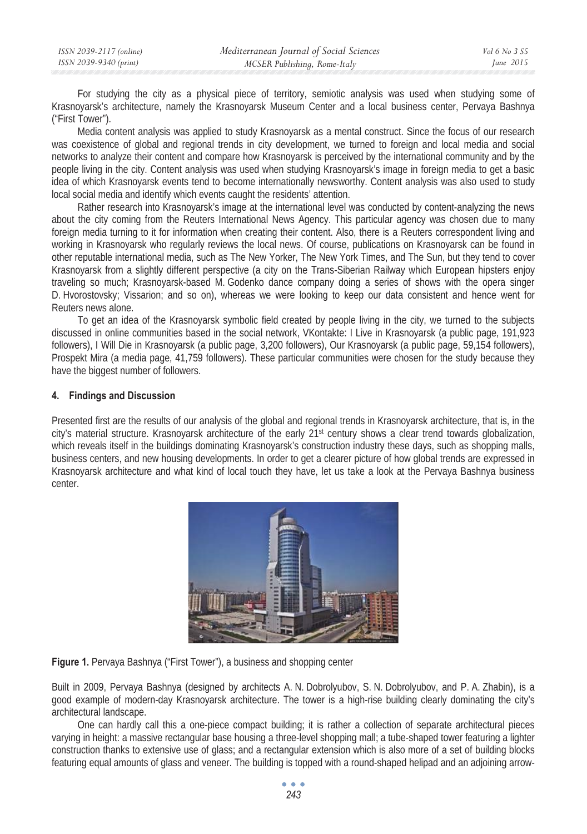| ISSN 2039-2117 (online) | Mediterranean Journal of Social Sciences | Vol 6 No. 3 S5 |
|-------------------------|------------------------------------------|----------------|
| ISSN 2039-9340 (print)  | MCSER Publishing, Rome-Italy             | June 2015      |
|                         |                                          |                |

For studying the city as a physical piece of territory, semiotic analysis was used when studying some of Krasnoyarsk's architecture, namely the Krasnoyarsk Museum Center and a local business center, Pervaya Bashnya ("First Tower").

Media content analysis was applied to study Krasnoyarsk as a mental construct. Since the focus of our research was coexistence of global and regional trends in city development, we turned to foreign and local media and social networks to analyze their content and compare how Krasnoyarsk is perceived by the international community and by the people living in the city. Content analysis was used when studying Krasnoyarsk's image in foreign media to get a basic idea of which Krasnoyarsk events tend to become internationally newsworthy. Content analysis was also used to study local social media and identify which events caught the residents' attention.

Rather research into Krasnoyarsk's image at the international level was conducted by content-analyzing the news about the city coming from the Reuters International News Agency. This particular agency was chosen due to many foreign media turning to it for information when creating their content. Also, there is a Reuters correspondent living and working in Krasnoyarsk who regularly reviews the local news. Of course, publications on Krasnoyarsk can be found in other reputable international media, such as The New Yorker, The New York Times, and The Sun, but they tend to cover Krasnoyarsk from a slightly different perspective (a city on the Trans-Siberian Railway which European hipsters enjoy traveling so much; Krasnoyarsk-based M. Godenko dance company doing a series of shows with the opera singer D. Hvorostovsky; Vissarion; and so on), whereas we were looking to keep our data consistent and hence went for Reuters news alone.

To get an idea of the Krasnoyarsk symbolic field created by people living in the city, we turned to the subjects discussed in online communities based in the social network, VKontakte: I Live in Krasnoyarsk (a public page, 191,923 followers), I Will Die in Krasnoyarsk (a public page, 3,200 followers), Our Krasnoyarsk (a public page, 59,154 followers), Prospekt Mira (a media page, 41,759 followers). These particular communities were chosen for the study because they have the biggest number of followers.

# **4. Findings and Discussion**

Presented first are the results of our analysis of the global and regional trends in Krasnoyarsk architecture, that is, in the city's material structure. Krasnoyarsk architecture of the early 21st century shows a clear trend towards globalization, which reveals itself in the buildings dominating Krasnoyarsk's construction industry these days, such as shopping malls, business centers, and new housing developments. In order to get a clearer picture of how global trends are expressed in Krasnoyarsk architecture and what kind of local touch they have, let us take a look at the Pervaya Bashnya business center.



**Figure 1.** Pervaya Bashnya ("First Tower"), a business and shopping center

Built in 2009, Pervaya Bashnya (designed by architects A. N. Dobrolyubov, S. N. Dobrolyubov, and P. A. Zhabin), is a good example of modern-day Krasnoyarsk architecture. The tower is a high-rise building clearly dominating the city's architectural landscape.

One can hardly call this a one-piece compact building; it is rather a collection of separate architectural pieces varying in height: a massive rectangular base housing a three-level shopping mall; a tube-shaped tower featuring a lighter construction thanks to extensive use of glass; and a rectangular extension which is also more of a set of building blocks featuring equal amounts of glass and veneer. The building is topped with a round-shaped helipad and an adjoining arrow-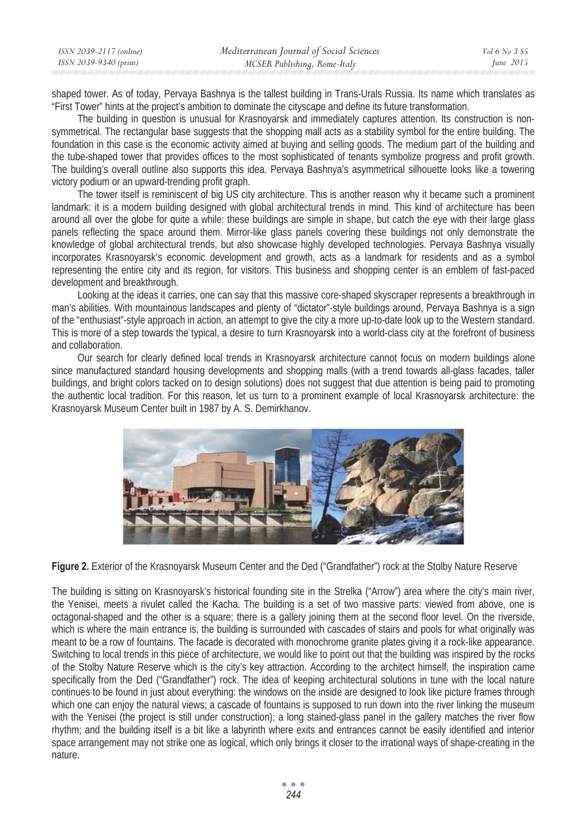| ISSN 2039-2117 (online) | Mediterranean Journal of Social Sciences | Vol 6 No 3 S5 |
|-------------------------|------------------------------------------|---------------|
| ISSN 2039-9340 (print)  | MCSER Publishing, Rome-Italy             | June $2015$   |

shaped tower. As of today, Pervaya Bashnya is the tallest building in Trans-Urals Russia. Its name which translates as "First Tower" hints at the project's ambition to dominate the cityscape and define its future transformation.

The building in question is unusual for Krasnoyarsk and immediately captures attention. Its construction is nonsymmetrical. The rectangular base suggests that the shopping mall acts as a stability symbol for the entire building. The foundation in this case is the economic activity aimed at buying and selling goods. The medium part of the building and the tube-shaped tower that provides offices to the most sophisticated of tenants symbolize progress and profit growth. The building's overall outline also supports this idea. Pervaya Bashnya's asymmetrical silhouette looks like a towering victory podium or an upward-trending profit graph.

The tower itself is reminiscent of big US city architecture. This is another reason why it became such a prominent landmark: it is a modern building designed with global architectural trends in mind. This kind of architecture has been around all over the globe for quite a while: these buildings are simple in shape, but catch the eye with their large glass panels reflecting the space around them. Mirror-like glass panels covering these buildings not only demonstrate the knowledge of global architectural trends, but also showcase highly developed technologies. Pervaya Bashnya visually incorporates Krasnoyarsk's economic development and growth, acts as a landmark for residents and as a symbol representing the entire city and its region, for visitors. This business and shopping center is an emblem of fast-paced development and breakthrough.

Looking at the ideas it carries, one can say that this massive core-shaped skyscraper represents a breakthrough in man's abilities. With mountainous landscapes and plenty of "dictator"-style buildings around, Pervaya Bashnya is a sign of the "enthusiast"-style approach in action, an attempt to give the city a more up-to-date look up to the Western standard. This is more of a step towards the typical, a desire to turn Krasnoyarsk into a world-class city at the forefront of business and collaboration.

Our search for clearly defined local trends in Krasnoyarsk architecture cannot focus on modern buildings alone since manufactured standard housing developments and shopping malls (with a trend towards all-glass facades, taller buildings, and bright colors tacked on to design solutions) does not suggest that due attention is being paid to promoting the authentic local tradition. For this reason, let us turn to a prominent example of local Krasnoyarsk architecture: the Krasnoyarsk Museum Center built in 1987 by A. S. Demirkhanov.



**Figure 2.** Exterior of the Krasnoyarsk Museum Center and the Ded ("Grandfather") rock at the Stolby Nature Reserve

The building is sitting on Krasnoyarsk's historical founding site in the Strelka ("Arrow") area where the city's main river, the Yenisei, meets a rivulet called the Kacha. The building is a set of two massive parts: viewed from above, one is octagonal-shaped and the other is a square; there is a gallery joining them at the second floor level. On the riverside, which is where the main entrance is, the building is surrounded with cascades of stairs and pools for what originally was meant to be a row of fountains. The facade is decorated with monochrome granite plates giving it a rock-like appearance. Switching to local trends in this piece of architecture, we would like to point out that the building was inspired by the rocks of the Stolby Nature Reserve which is the city's key attraction. According to the architect himself, the inspiration came specifically from the Ded ("Grandfather") rock. The idea of keeping architectural solutions in tune with the local nature continues to be found in just about everything: the windows on the inside are designed to look like picture frames through which one can enjoy the natural views; a cascade of fountains is supposed to run down into the river linking the museum with the Yenisei (the project is still under construction); a long stained-glass panel in the gallery matches the river flow rhythm; and the building itself is a bit like a labyrinth where exits and entrances cannot be easily identified and interior space arrangement may not strike one as logical, which only brings it closer to the irrational ways of shape-creating in the nature.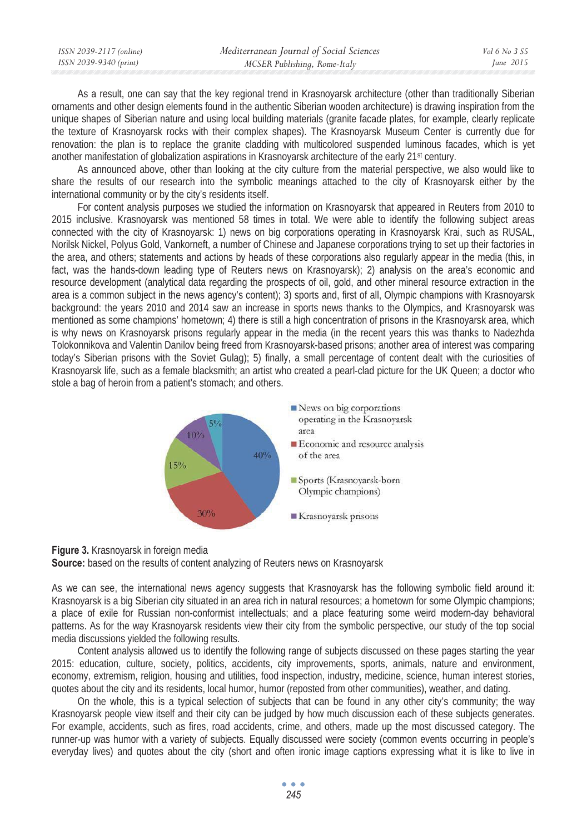| ISSN 2039-2117 (online) | Mediterranean Journal of Social Sciences | Vol 6 No. 3 S5 |
|-------------------------|------------------------------------------|----------------|
| ISSN 2039-9340 (print)  | MCSER Publishing, Rome-Italy             | June $2015$    |
|                         |                                          |                |

As a result, one can say that the key regional trend in Krasnoyarsk architecture (other than traditionally Siberian ornaments and other design elements found in the authentic Siberian wooden architecture) is drawing inspiration from the unique shapes of Siberian nature and using local building materials (granite facade plates, for example, clearly replicate the texture of Krasnoyarsk rocks with their complex shapes). The Krasnoyarsk Museum Center is currently due for renovation: the plan is to replace the granite cladding with multicolored suspended luminous facades, which is yet another manifestation of globalization aspirations in Krasnoyarsk architecture of the early 21st century.

As announced above, other than looking at the city culture from the material perspective, we also would like to share the results of our research into the symbolic meanings attached to the city of Krasnoyarsk either by the international community or by the city's residents itself.

For content analysis purposes we studied the information on Krasnoyarsk that appeared in Reuters from 2010 to 2015 inclusive. Krasnoyarsk was mentioned 58 times in total. We were able to identify the following subject areas connected with the city of Krasnoyarsk: 1) news on big corporations operating in Krasnoyarsk Krai, such as RUSAL, Norilsk Nickel, Polyus Gold, Vankorneft, a number of Chinese and Japanese corporations trying to set up their factories in the area, and others; statements and actions by heads of these corporations also regularly appear in the media (this, in fact, was the hands-down leading type of Reuters news on Krasnoyarsk); 2) analysis on the area's economic and resource development (analytical data regarding the prospects of oil, gold, and other mineral resource extraction in the area is a common subject in the news agency's content); 3) sports and, first of all, Olympic champions with Krasnoyarsk background: the years 2010 and 2014 saw an increase in sports news thanks to the Olympics, and Krasnoyarsk was mentioned as some champions' hometown; 4) there is still a high concentration of prisons in the Krasnoyarsk area, which is why news on Krasnoyarsk prisons regularly appear in the media (in the recent years this was thanks to Nadezhda Tolokonnikova and Valentin Danilov being freed from Krasnoyarsk-based prisons; another area of interest was comparing today's Siberian prisons with the Soviet Gulag); 5) finally, a small percentage of content dealt with the curiosities of Krasnoyarsk life, such as a female blacksmith; an artist who created a pearl-clad picture for the UK Queen; a doctor who stole a bag of heroin from a patient's stomach; and others.



## **Figure 3.** Krasnovarsk in foreign media

**Source:** based on the results of content analyzing of Reuters news on Krasnoyarsk

As we can see, the international news agency suggests that Krasnoyarsk has the following symbolic field around it: Krasnoyarsk is a big Siberian city situated in an area rich in natural resources; a hometown for some Olympic champions; a place of exile for Russian non-conformist intellectuals; and a place featuring some weird modern-day behavioral patterns. As for the way Krasnoyarsk residents view their city from the symbolic perspective, our study of the top social media discussions yielded the following results.

Content analysis allowed us to identify the following range of subjects discussed on these pages starting the year 2015: education, culture, society, politics, accidents, city improvements, sports, animals, nature and environment, economy, extremism, religion, housing and utilities, food inspection, industry, medicine, science, human interest stories, quotes about the city and its residents, local humor, humor (reposted from other communities), weather, and dating.

On the whole, this is a typical selection of subjects that can be found in any other city's community; the way Krasnoyarsk people view itself and their city can be judged by how much discussion each of these subjects generates. For example, accidents, such as fires, road accidents, crime, and others, made up the most discussed category. The runner-up was humor with a variety of subjects. Equally discussed were society (common events occurring in people's everyday lives) and quotes about the city (short and often ironic image captions expressing what it is like to live in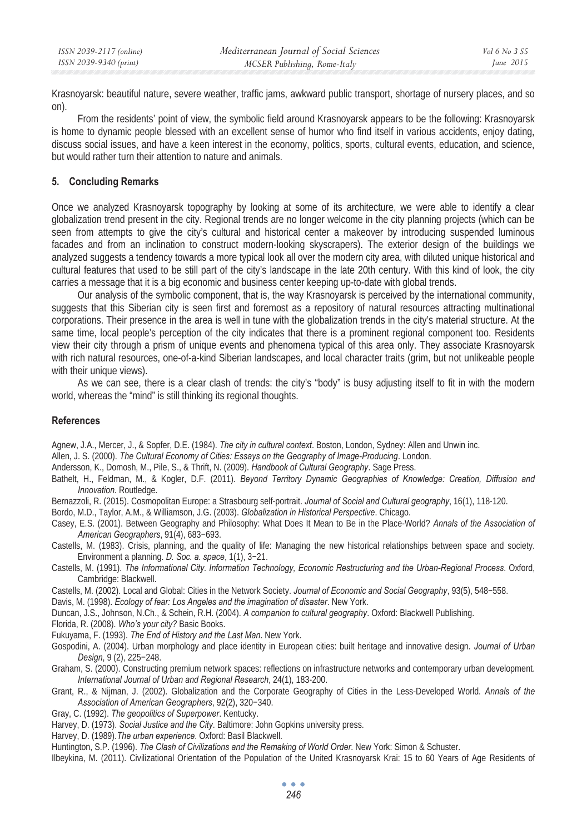| ISSN 2039-2117 (online) | Mediterranean Journal of Social Sciences | <i>Vol</i> 6 No 3 S5 |
|-------------------------|------------------------------------------|----------------------|
| ISSN 2039-9340 (print)  | MCSER Publishing, Rome-Italy             | June 2015            |

Krasnoyarsk: beautiful nature, severe weather, traffic jams, awkward public transport, shortage of nursery places, and so on).

From the residents' point of view, the symbolic field around Krasnoyarsk appears to be the following: Krasnoyarsk is home to dynamic people blessed with an excellent sense of humor who find itself in various accidents, enjoy dating, discuss social issues, and have a keen interest in the economy, politics, sports, cultural events, education, and science, but would rather turn their attention to nature and animals.

### **5. Concluding Remarks**

Once we analyzed Krasnoyarsk topography by looking at some of its architecture, we were able to identify a clear globalization trend present in the city. Regional trends are no longer welcome in the city planning projects (which can be seen from attempts to give the city's cultural and historical center a makeover by introducing suspended luminous facades and from an inclination to construct modern-looking skyscrapers). The exterior design of the buildings we analyzed suggests a tendency towards a more typical look all over the modern city area, with diluted unique historical and cultural features that used to be still part of the city's landscape in the late 20th century. With this kind of look, the city carries a message that it is a big economic and business center keeping up-to-date with global trends.

Our analysis of the symbolic component, that is, the way Krasnoyarsk is perceived by the international community, suggests that this Siberian city is seen first and foremost as a repository of natural resources attracting multinational corporations. Their presence in the area is well in tune with the globalization trends in the city's material structure. At the same time, local people's perception of the city indicates that there is a prominent regional component too. Residents view their city through a prism of unique events and phenomena typical of this area only. They associate Krasnoyarsk with rich natural resources, one-of-a-kind Siberian landscapes, and local character traits (grim, but not unlikeable people with their unique views).

As we can see, there is a clear clash of trends: the city's "body" is busy adjusting itself to fit in with the modern world, whereas the "mind" is still thinking its regional thoughts.

#### **References**

Agnew, J.A., Mercer, J., & Sopfer, D.E. (1984). *The city in cultural context*. Boston, London, Sydney: Allen and Unwin inc.

Allen, J. S. (2000). *The Cultural Economy of Cities: Essays on the Geography of Image-Producing*. London.

Andersson, K., Domosh, M., Pile, S., & Thrift, N. (2009). *Handbook of Cultural Geography*. Sage Press.

Bathelt, H., Feldman, M., & Kogler, D.F. (2011). *Beyond Territory Dynamic Geographies of Knowledge: Creation, Diffusion and Innovation*. Routledge.

- Bernazzoli, R. (2015). Cosmopolitan Europe: a Strasbourg self-portrait. *Journal of Social and Cultural geography*, 16(1), 118-120.
- Bordo, M.D., Taylor, A.M., & Williamson, J.G. (2003). *Globalization in Historical Perspective*. Chicago.
- Casey, E.S. (2001). Between Geography and Philosophy: What Does It Mean to Be in the Place-World? *Annals of the Association of*  American Geographers, 91(4), 683-693.
- Castells, M. (1983). Crisis, planning, and the quality of life: Managing the new historical relationships between space and society. Environment a planning. *D. Soc. a. space*, 1(1), 3-21.
- Castells, M. (1991). *The Informational City. Information Technology, Economic Restructuring and the Urban-Regional Process*. Oxford, Cambridge: Blackwell.
- Castells, M. (2002). Local and Global: Cities in the Network Society. *Journal of Economic and Social Geography*, 93(5), 548-558.
- Davis, M. (1998). *Ecology of fear: Los Angeles and the imagination of disaster*. New York.
- Duncan, J.S., Johnson, N.Ch., & Schein, R.H. (2004). *A companion to cultural geography*. Oxford: Blackwell Publishing.
- Florida, R. (2008). *Who's your city?* Basic Books.
- Fukuyama, F. (1993). *The End of History and the Last Man*. New York.
- Gospodini, A. (2004). Urban morphology and place identity in European cities: built heritage and innovative design. *Journal of Urban Design*, 9 (2), 225-248.
- Graham, S. (2000). Constructing premium network spaces: reflections on infrastructure networks and contemporary urban development. *International Journal of Urban and Regional Research*, 24(1), 183-200.
- Grant, R., & Nijman, J. (2002). Globalization and the Corporate Geography of Cities in the Less-Developed World. *Annals of the*  Association of American Geographers, 92(2), 320-340.
- Gray, C. (1992). *The geopolitics of Superpower*. Kentucky.
- Harvey, D. (1973). *Social Justice and the City*. Baltimore: John Gopkins university press.
- Harvey, D. (1989).*The urban experience*. Oxford: Basil Blackwell.
- Huntington, S.P. (1996). *The Clash of Civilizations and the Remaking of World Order*. New York: Simon & Schuster.

Ilbeykina, M. (2011). Civilizational Orientation of the Population of the United Krasnoyarsk Krai: 15 to 60 Years of Age Residents of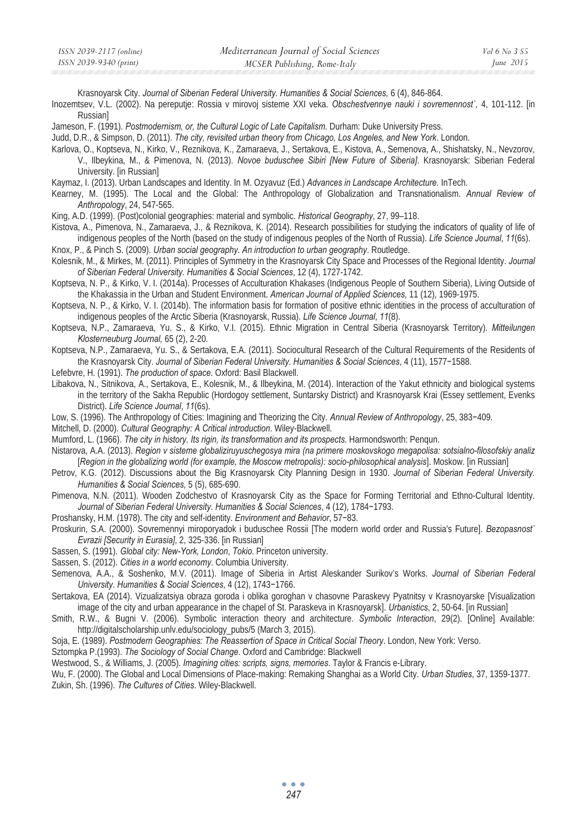| ISSN 2039-2117 (online) | Mediterranean Journal of Social Sciences | <i>Vol 6 No 3 S5</i> |
|-------------------------|------------------------------------------|----------------------|
| ISSN 2039-9340 (print)  | MCSER Publishing, Rome-Italy             | June $2015$          |

Krasnoyarsk City. *Journal of Siberian Federal University. Humanities & Social Sciences,* 6 (4), 846-864.

- Inozemtsev, V.L. (2002). Na pereputje: Rossia v mirovoj sisteme XXI veka. *Obschestvennye nauki i sovremennost`,* 4, 101-112. [in Russian]
- Jameson, F. (1991). *Postmodernism, or, the Cultural Logic of Late Capitalism*. Durham: Duke University Press.
- Judd, D.R., & Simpson, D. (2011). *The city, revisited urban theory from Chicago, Los Angeles, and New York*. London.
- Karlova, O., Koptseva, N., Kirko, V., Reznikova, K., Zamaraeva, J., Sertakova, E., Kistova, A., Semenova, A., Shishatsky, N., Nevzorov, V., Ilbeykina, M., & Pimenova, N. (2013). *Novoe buduschee Sibiri [New Future of Siberia]*. Krasnoyarsk: Siberian Federal University. [in Russian]
- Kaymaz, I. (2013). Urban Landscapes and Identity. In M. Ozyavuz (Ed.) *Advances in Landscape Architecture.* InTech.
- Kearney, M. (1995). The Local and the Global: The Anthropology of Globalization and Transnationalism. *Annual Review of Anthropology*, 24, 547-565.
- King, A.D. (1999). (Post)colonial geographies: material and symbolic. *Historical Geography*, 27, 99–118.
- Kistova, A., Pimenova, N., Zamaraeva, J., & Reznikova, K. (2014). Research possibilities for studying the indicators of quality of life of indigenous peoples of the North (based on the study of indigenous peoples of the North of Russia). *Life Science Journal*, *11*(6s).
- Knox, P., & Pinch S. (2009). *Urban social geography. An introduction to urban geography*. Routledge.
- Kolesnik, M., & Mirkes, M. (2011). Principles of Symmetry in the Krasnoyarsk City Space and Processes of the Regional Identity. *Journal of Siberian Federal University. Humanities & Social Sciences*, 12 (4), 1727-1742.
- Koptseva, N. P., & Kirko, V. I. (2014a). Processes of Acculturation Khakases (Indigenous People of Southern Siberia), Living Outside of the Khakassia in the Urban and Student Environment. *American Journal of Applied Sciences,* 11 (12), 1969-1975.
- Koptseva, N. P., & Kirko, V. I. (2014b). The information basis for formation of positive ethnic identities in the process of acculturation of indigenous peoples of the Arctic Siberia (Krasnoyarsk, Russia). *Life Science Journal*, *11*(8).
- Koptseva, N.P., Zamaraeva, Yu. S., & Kirko, V.I. (2015). Ethnic Migration in Central Siberia (Krasnoyarsk Territory). *Mitteilungen Klosterneuburg Journal,* 65 (2), 2-20*.*
- Koptseva, N.P., Zamaraeva, Yu. S., & Sertakova, E.A. (2011). Sociocultural Research of the Cultural Requirements of the Residents of the Krasnovarsk City. *Journal of Siberian Federal University. Humanities & Social Sciences*, 4 (11), 1577–1588.
- Lefebvre, H. (1991). *The production of space*. Oxford: Basil Blackwell.
- Libakova, N., Sitnikova, A., Sertakova, E., Kolesnik, M., & Ilbeykina, M. (2014). Interaction of the Yakut ethnicity and biological systems in the territory of the Sakha Republic (Hordogoy settlement, Suntarsky District) and Krasnoyarsk Krai (Essey settlement, Evenks District). *Life Science Journal*, *11*(6s).
- Low, S. (1996). The Anthropology of Cities: Imagining and Theorizing the City. *Annual Review of Anthropology*, 25, 383-409.
- Mitchell, D. (2000). *Cultural Geography: A Critical introduction*. Wiley-Blackwell.
- Mumford, L. (1966). *The city in history. Its rigin, its transformation and its prospects*. Harmondsworth: Penqun.
- Nistarova, A.A. (2013). *Region v sisteme globaliziruyuschegosya mira (na primere moskovskogo megapolisa: sotsialno-filosofskiy analiz* [*Region in the globalizing world (for example, the Moscow metropolis): socio-philosophical analysis*]. Moskow. [in Russian]
- Petrov, K.G. (2012). Discussions about the Big Krasnoyarsk City Planning Design in 1930. *Journal of Siberian Federal University. Humanities & Social Sciences,* 5 (5), 685-690.
- Pimenova, N.N. (2011). Wooden Zodchestvo of Krasnoyarsk City as the Space for Forming Territorial and Ethno-Cultural Identity. Journal of Siberian Federal University. Humanities & Social Sciences, 4 (12), 1784-1793.
- Proshansky, H.M. (1978). The city and self-identity. *Environment and Behavior*, 57-83.
- Proskurin, S.A. (2000). Sovremennyi miroporyadok i buduschee Rossii [The modern world order and Russia's Future]. *Bezopasnost` Evrazii [Security in Eurasia]*, 2, 325-336. [in Russian]
- Sassen, S. (1991). *Global city: New-York, London*, *Tokio*. Princeton university.
- Sassen, S. (2012). *Cities in a world economy*. Columbia University.
- Semenova, A.A., & Soshenko, M.V. (2011). Image of Siberia in Artist Aleskander Surikov's Works. *Journal of Siberian Federal University. Humanities & Social Sciences, 4 (12), 1743-1766.*
- Sertakova, EA (2014). Vizualizatsiya obraza goroda i oblika goroghan v chasovne Paraskevy Pyatnitsy v Krasnoyarske [Visualization image of the city and urban appearance in the chapel of St. Paraskeva in Krasnoyarsk]. *Urbanistics*, 2, 50-64. [in Russian]
- Smith, R.W., & Bugni V. (2006). Symbolic interaction theory and architecture. *Symbolic Interaction*, 29(2). [Online] Available: http://digitalscholarship.unlv.edu/sociology\_pubs/5 (March 3, 2015).
- Soja, E. (1989). *Postmodern Geographies: The Reassertion of Space in Critical Social Theory*. London, New York: Verso.
- Sztompka P.(1993). *The Sociology of Social Change*. Oxford and Cambridge: Blackwell

Westwood, S., & Williams, J. (2005). *Imagining cities: scripts, signs, memories*. Taylor & Francis e-Library.

Wu, F. (2000). The Global and Local Dimensions of Place-making: Remaking Shanghai as a World City. *Urban Studies*, 37, 1359-1377. Zukin, Sh. (1996). *The Cultures of Cities*. Wiley-Blackwell.